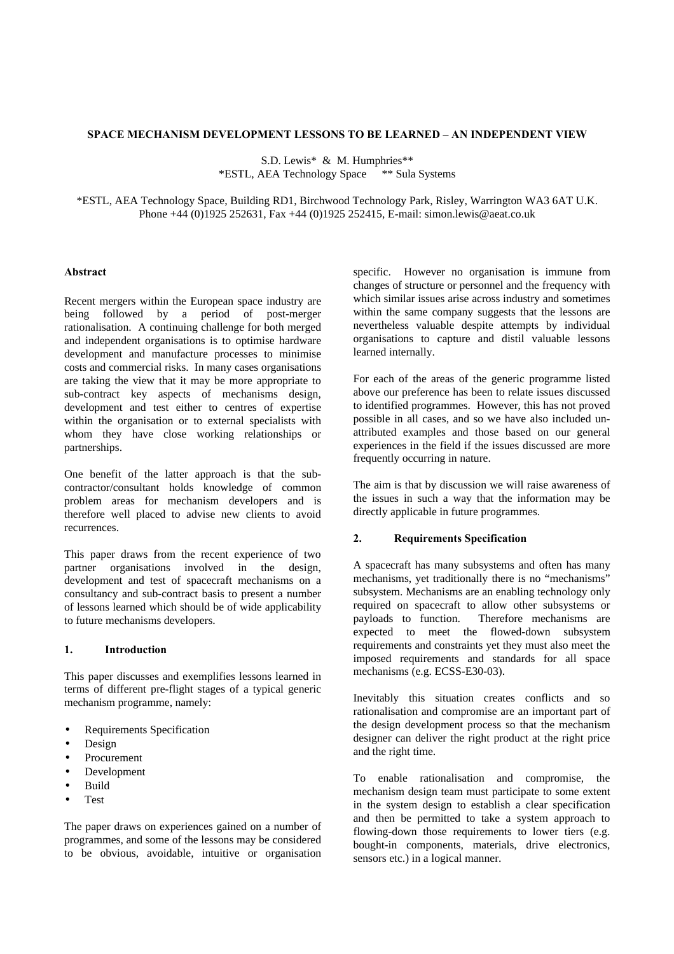### **SPACE MECHANISM DEVELOPMENT LESSONS TO BE LEARNED – AN INDEPENDENT VIEW**

S.D. Lewis\* & M. Humphries\*\* \*ESTL, AEA Technology Space \*\* Sula Systems

\*ESTL, AEA Technology Space, Building RD1, Birchwood Technology Park, Risley, Warrington WA3 6AT U.K. Phone +44 (0)1925 252631, Fax +44 (0)1925 252415, E-mail: simon.lewis@aeat.co.uk

#### **Abstract**

Recent mergers within the European space industry are being followed by a period of post-merger rationalisation. A continuing challenge for both merged and independent organisations is to optimise hardware development and manufacture processes to minimise costs and commercial risks. In many cases organisations are taking the view that it may be more appropriate to sub-contract key aspects of mechanisms design, development and test either to centres of expertise within the organisation or to external specialists with whom they have close working relationships or partnerships.

One benefit of the latter approach is that the subcontractor/consultant holds knowledge of common problem areas for mechanism developers and is therefore well placed to advise new clients to avoid recurrences.

This paper draws from the recent experience of two partner organisations involved in the design, development and test of spacecraft mechanisms on a consultancy and sub-contract basis to present a number of lessons learned which should be of wide applicability to future mechanisms developers.

## **1. Introduction**

This paper discusses and exemplifies lessons learned in terms of different pre-flight stages of a typical generic mechanism programme, namely:

- Requirements Specification
- Design
- Procurement
- Development
- Build
- Test

The paper draws on experiences gained on a number of programmes, and some of the lessons may be considered to be obvious, avoidable, intuitive or organisation specific. However no organisation is immune from changes of structure or personnel and the frequency with which similar issues arise across industry and sometimes within the same company suggests that the lessons are nevertheless valuable despite attempts by individual organisations to capture and distil valuable lessons learned internally.

For each of the areas of the generic programme listed above our preference has been to relate issues discussed to identified programmes. However, this has not proved possible in all cases, and so we have also included unattributed examples and those based on our general experiences in the field if the issues discussed are more frequently occurring in nature.

The aim is that by discussion we will raise awareness of the issues in such a way that the information may be directly applicable in future programmes.

# **2. Requirements Specification**

A spacecraft has many subsystems and often has many mechanisms, yet traditionally there is no "mechanisms" subsystem. Mechanisms are an enabling technology only required on spacecraft to allow other subsystems or payloads to function. Therefore mechanisms are expected to meet the flowed-down subsystem requirements and constraints yet they must also meet the imposed requirements and standards for all space mechanisms (e.g. ECSS-E30-03).

Inevitably this situation creates conflicts and so rationalisation and compromise are an important part of the design development process so that the mechanism designer can deliver the right product at the right price and the right time.

To enable rationalisation and compromise, the mechanism design team must participate to some extent in the system design to establish a clear specification and then be permitted to take a system approach to flowing-down those requirements to lower tiers (e.g. bought-in components, materials, drive electronics, sensors etc.) in a logical manner.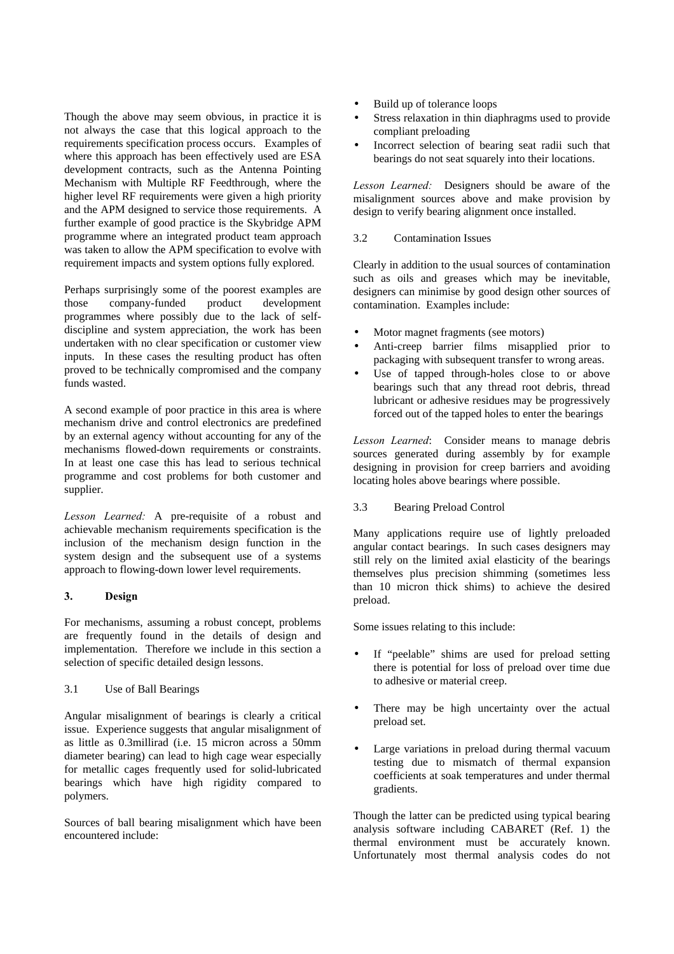Though the above may seem obvious, in practice it is not always the case that this logical approach to the requirements specification process occurs. Examples of where this approach has been effectively used are ESA development contracts, such as the Antenna Pointing Mechanism with Multiple RF Feedthrough, where the higher level RF requirements were given a high priority and the APM designed to service those requirements. A further example of good practice is the Skybridge APM programme where an integrated product team approach was taken to allow the APM specification to evolve with requirement impacts and system options fully explored.

Perhaps surprisingly some of the poorest examples are those company-funded product development programmes where possibly due to the lack of selfdiscipline and system appreciation, the work has been undertaken with no clear specification or customer view inputs. In these cases the resulting product has often proved to be technically compromised and the company funds wasted.

A second example of poor practice in this area is where mechanism drive and control electronics are predefined by an external agency without accounting for any of the mechanisms flowed-down requirements or constraints. In at least one case this has lead to serious technical programme and cost problems for both customer and supplier.

*Lesson Learned:* A pre-requisite of a robust and achievable mechanism requirements specification is the inclusion of the mechanism design function in the system design and the subsequent use of a systems approach to flowing-down lower level requirements.

## **3. Design**

For mechanisms, assuming a robust concept, problems are frequently found in the details of design and implementation. Therefore we include in this section a selection of specific detailed design lessons.

### 3.1 Use of Ball Bearings

Angular misalignment of bearings is clearly a critical issue. Experience suggests that angular misalignment of as little as 0.3millirad (i.e. 15 micron across a 50mm diameter bearing) can lead to high cage wear especially for metallic cages frequently used for solid-lubricated bearings which have high rigidity compared to polymers.

Sources of ball bearing misalignment which have been encountered include:

- Build up of tolerance loops
- Stress relaxation in thin diaphragms used to provide compliant preloading
- Incorrect selection of bearing seat radii such that bearings do not seat squarely into their locations.

*Lesson Learned:* Designers should be aware of the misalignment sources above and make provision by design to verify bearing alignment once installed.

### 3.2 Contamination Issues

Clearly in addition to the usual sources of contamination such as oils and greases which may be inevitable, designers can minimise by good design other sources of contamination. Examples include:

- Motor magnet fragments (see motors)
- Anti-creep barrier films misapplied prior to packaging with subsequent transfer to wrong areas.
- Use of tapped through-holes close to or above bearings such that any thread root debris, thread lubricant or adhesive residues may be progressively forced out of the tapped holes to enter the bearings

*Lesson Learned*: Consider means to manage debris sources generated during assembly by for example designing in provision for creep barriers and avoiding locating holes above bearings where possible.

3.3 Bearing Preload Control

Many applications require use of lightly preloaded angular contact bearings. In such cases designers may still rely on the limited axial elasticity of the bearings themselves plus precision shimming (sometimes less than 10 micron thick shims) to achieve the desired preload.

Some issues relating to this include:

- If "peelable" shims are used for preload setting there is potential for loss of preload over time due to adhesive or material creep.
- There may be high uncertainty over the actual preload set.
- Large variations in preload during thermal vacuum testing due to mismatch of thermal expansion coefficients at soak temperatures and under thermal gradients.

Though the latter can be predicted using typical bearing analysis software including CABARET (Ref. 1) the thermal environment must be accurately known. Unfortunately most thermal analysis codes do not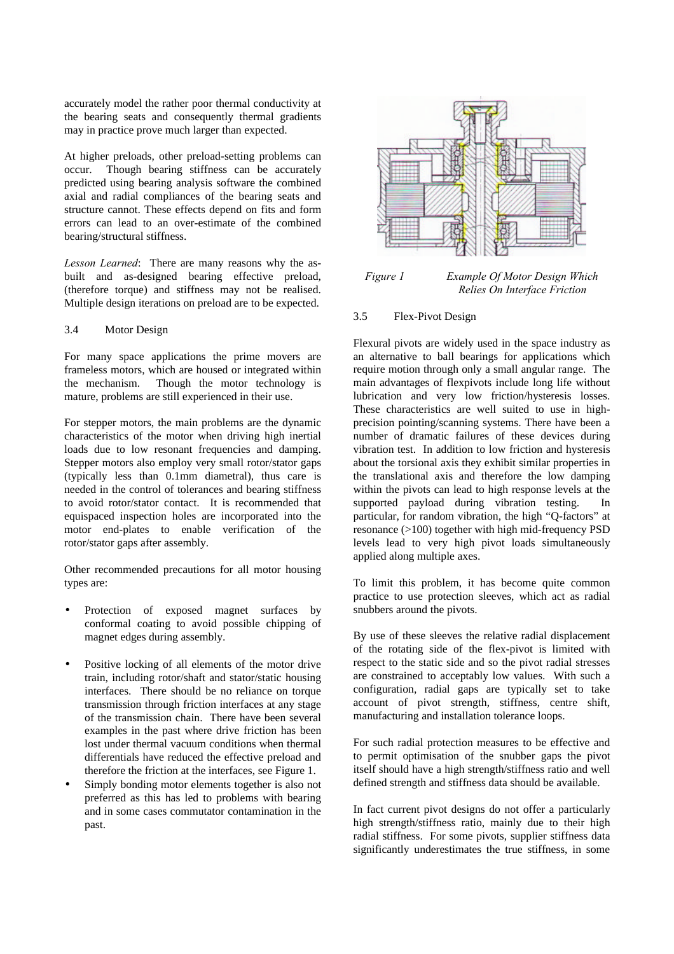accurately model the rather poor thermal conductivity at the bearing seats and consequently thermal gradients may in practice prove much larger than expected.

At higher preloads, other preload-setting problems can occur. Though bearing stiffness can be accurately predicted using bearing analysis software the combined axial and radial compliances of the bearing seats and structure cannot. These effects depend on fits and form errors can lead to an over-estimate of the combined bearing/structural stiffness.

*Lesson Learned*: There are many reasons why the asbuilt and as-designed bearing effective preload, (therefore torque) and stiffness may not be realised. Multiple design iterations on preload are to be expected.

# 3.4 Motor Design

For many space applications the prime movers are frameless motors, which are housed or integrated within the mechanism. Though the motor technology is mature, problems are still experienced in their use.

For stepper motors, the main problems are the dynamic characteristics of the motor when driving high inertial loads due to low resonant frequencies and damping. Stepper motors also employ very small rotor/stator gaps (typically less than 0.1mm diametral), thus care is needed in the control of tolerances and bearing stiffness to avoid rotor/stator contact. It is recommended that equispaced inspection holes are incorporated into the motor end-plates to enable verification of the rotor/stator gaps after assembly.

Other recommended precautions for all motor housing types are:

- Protection of exposed magnet surfaces by conformal coating to avoid possible chipping of magnet edges during assembly.
- Positive locking of all elements of the motor drive train, including rotor/shaft and stator/static housing interfaces. There should be no reliance on torque transmission through friction interfaces at any stage of the transmission chain. There have been several examples in the past where drive friction has been lost under thermal vacuum conditions when thermal differentials have reduced the effective preload and therefore the friction at the interfaces, see Figure 1.
- Simply bonding motor elements together is also not preferred as this has led to problems with bearing and in some cases commutator contamination in the past.



*Figure 1 Example Of Motor Design Which Relies On Interface Friction*

# 3.5 Flex-Pivot Design

Flexural pivots are widely used in the space industry as an alternative to ball bearings for applications which require motion through only a small angular range. The main advantages of flexpivots include long life without lubrication and very low friction/hysteresis losses. These characteristics are well suited to use in highprecision pointing/scanning systems. There have been a number of dramatic failures of these devices during vibration test. In addition to low friction and hysteresis about the torsional axis they exhibit similar properties in the translational axis and therefore the low damping within the pivots can lead to high response levels at the supported payload during vibration testing. In particular, for random vibration, the high "Q-factors" at resonance  $(>100)$  together with high mid-frequency PSD levels lead to very high pivot loads simultaneously applied along multiple axes.

To limit this problem, it has become quite common practice to use protection sleeves, which act as radial snubbers around the pivots.

By use of these sleeves the relative radial displacement of the rotating side of the flex-pivot is limited with respect to the static side and so the pivot radial stresses are constrained to acceptably low values. With such a configuration, radial gaps are typically set to take account of pivot strength, stiffness, centre shift, manufacturing and installation tolerance loops.

For such radial protection measures to be effective and to permit optimisation of the snubber gaps the pivot itself should have a high strength/stiffness ratio and well defined strength and stiffness data should be available.

In fact current pivot designs do not offer a particularly high strength/stiffness ratio, mainly due to their high radial stiffness. For some pivots, supplier stiffness data significantly underestimates the true stiffness, in some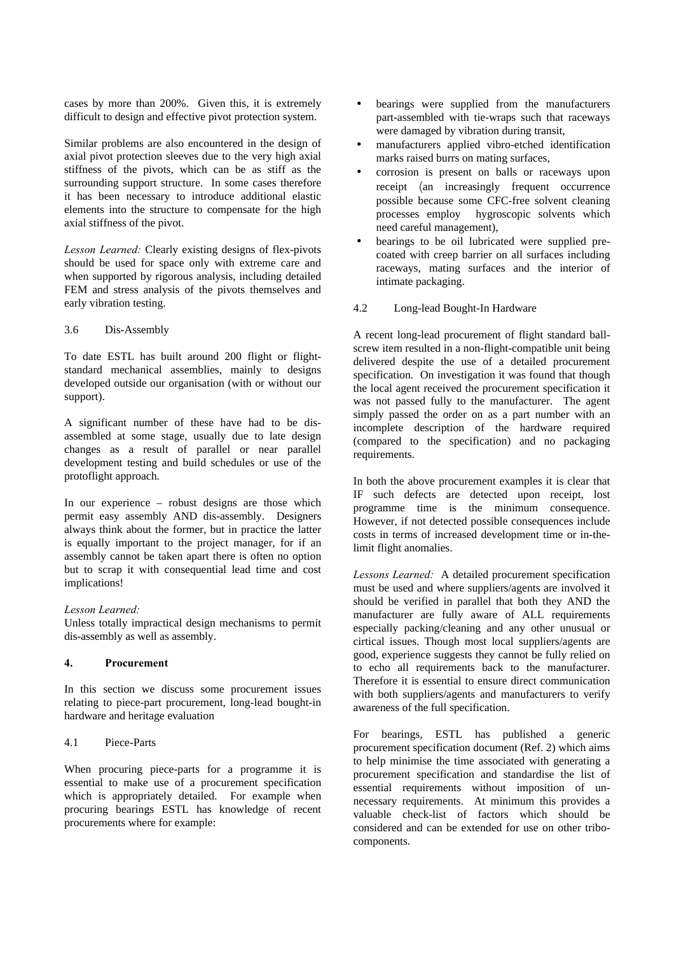cases by more than 200%. Given this, it is extremely difficult to design and effective pivot protection system.

Similar problems are also encountered in the design of axial pivot protection sleeves due to the very high axial stiffness of the pivots, which can be as stiff as the surrounding support structure. In some cases therefore it has been necessary to introduce additional elastic elements into the structure to compensate for the high axial stiffness of the pivot.

*Lesson Learned:* Clearly existing designs of flex-pivots should be used for space only with extreme care and when supported by rigorous analysis, including detailed FEM and stress analysis of the pivots themselves and early vibration testing.

### 3.6 Dis-Assembly

To date ESTL has built around 200 flight or flightstandard mechanical assemblies, mainly to designs developed outside our organisation (with or without our support).

A significant number of these have had to be disassembled at some stage, usually due to late design changes as a result of parallel or near parallel development testing and build schedules or use of the protoflight approach.

In our experience – robust designs are those which permit easy assembly AND dis-assembly. Designers always think about the former, but in practice the latter is equally important to the project manager, for if an assembly cannot be taken apart there is often no option but to scrap it with consequential lead time and cost implications!

#### *Lesson Learned:*

Unless totally impractical design mechanisms to permit dis-assembly as well as assembly.

# **4. Procurement**

In this section we discuss some procurement issues relating to piece-part procurement, long-lead bought-in hardware and heritage evaluation

## 4.1 Piece-Parts

When procuring piece-parts for a programme it is essential to make use of a procurement specification which is appropriately detailed. For example when procuring bearings ESTL has knowledge of recent procurements where for example:

- bearings were supplied from the manufacturers part-assembled with tie-wraps such that raceways were damaged by vibration during transit,
- manufacturers applied vibro-etched identification marks raised burrs on mating surfaces,
- corrosion is present on balls or raceways upon receipt (an increasingly frequent occurrence possible because some CFC-free solvent cleaning processes employ hygroscopic solvents which need careful management),
- bearings to be oil lubricated were supplied precoated with creep barrier on all surfaces including raceways, mating surfaces and the interior of intimate packaging.

# 4.2 Long-lead Bought-In Hardware

A recent long-lead procurement of flight standard ballscrew item resulted in a non-flight-compatible unit being delivered despite the use of a detailed procurement specification. On investigation it was found that though the local agent received the procurement specification it was not passed fully to the manufacturer. The agent simply passed the order on as a part number with an incomplete description of the hardware required (compared to the specification) and no packaging requirements.

In both the above procurement examples it is clear that IF such defects are detected upon receipt, lost programme time is the minimum consequence. However, if not detected possible consequences include costs in terms of increased development time or in-thelimit flight anomalies.

*Lessons Learned:* A detailed procurement specification must be used and where suppliers/agents are involved it should be verified in parallel that both they AND the manufacturer are fully aware of ALL requirements especially packing/cleaning and any other unusual or cirtical issues. Though most local suppliers/agents are good, experience suggests they cannot be fully relied on to echo all requirements back to the manufacturer. Therefore it is essential to ensure direct communication with both suppliers/agents and manufacturers to verify awareness of the full specification.

For bearings, ESTL has published a generic procurement specification document (Ref. 2) which aims to help minimise the time associated with generating a procurement specification and standardise the list of essential requirements without imposition of unnecessary requirements. At minimum this provides a valuable check-list of factors which should be considered and can be extended for use on other tribocomponents.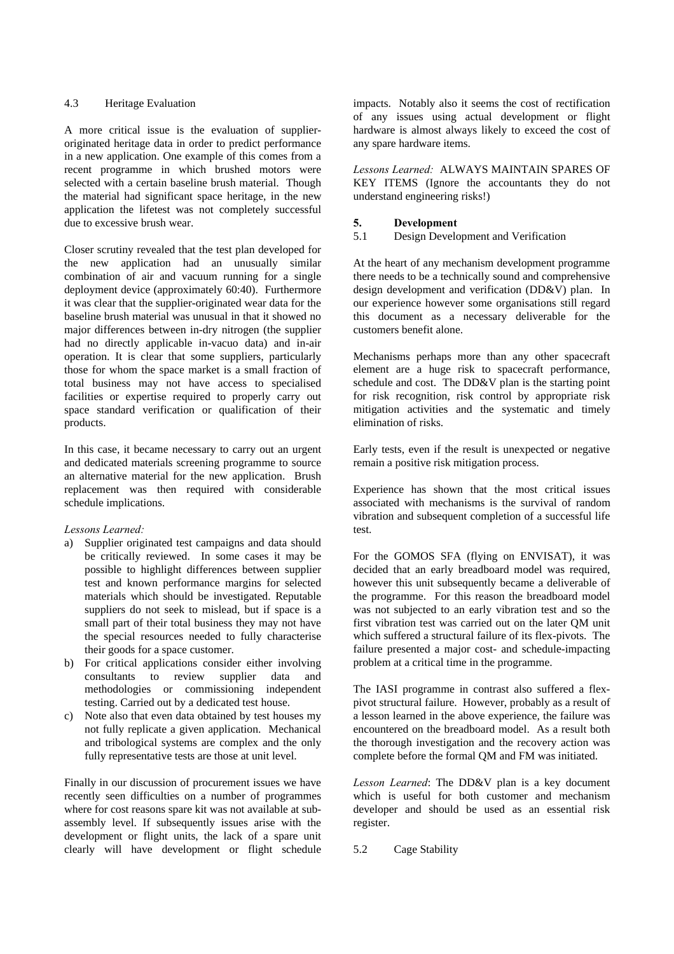#### 4.3 Heritage Evaluation

A more critical issue is the evaluation of supplieroriginated heritage data in order to predict performance in a new application. One example of this comes from a recent programme in which brushed motors were selected with a certain baseline brush material. Though the material had significant space heritage, in the new application the lifetest was not completely successful due to excessive brush wear.

Closer scrutiny revealed that the test plan developed for the new application had an unusually similar combination of air and vacuum running for a single deployment device (approximately 60:40). Furthermore it was clear that the supplier-originated wear data for the baseline brush material was unusual in that it showed no major differences between in-dry nitrogen (the supplier had no directly applicable in-vacuo data) and in-air operation. It is clear that some suppliers, particularly those for whom the space market is a small fraction of total business may not have access to specialised facilities or expertise required to properly carry out space standard verification or qualification of their products.

In this case, it became necessary to carry out an urgent and dedicated materials screening programme to source an alternative material for the new application. Brush replacement was then required with considerable schedule implications.

## *Lessons Learned:*

- a) Supplier originated test campaigns and data should be critically reviewed. In some cases it may be possible to highlight differences between supplier test and known performance margins for selected materials which should be investigated. Reputable suppliers do not seek to mislead, but if space is a small part of their total business they may not have the special resources needed to fully characterise their goods for a space customer.
- b) For critical applications consider either involving consultants to review supplier data and methodologies or commissioning independent testing. Carried out by a dedicated test house.
- c) Note also that even data obtained by test houses my not fully replicate a given application. Mechanical and tribological systems are complex and the only fully representative tests are those at unit level.

Finally in our discussion of procurement issues we have recently seen difficulties on a number of programmes where for cost reasons spare kit was not available at subassembly level. If subsequently issues arise with the development or flight units, the lack of a spare unit clearly will have development or flight schedule impacts. Notably also it seems the cost of rectification of any issues using actual development or flight hardware is almost always likely to exceed the cost of any spare hardware items.

*Lessons Learned:* ALWAYS MAINTAIN SPARES OF KEY ITEMS (Ignore the accountants they do not understand engineering risks!)

## **5. Development**

5.1 Design Development and Verification

At the heart of any mechanism development programme there needs to be a technically sound and comprehensive design development and verification (DD&V) plan. In our experience however some organisations still regard this document as a necessary deliverable for the customers benefit alone.

Mechanisms perhaps more than any other spacecraft element are a huge risk to spacecraft performance, schedule and cost. The DD&V plan is the starting point for risk recognition, risk control by appropriate risk mitigation activities and the systematic and timely elimination of risks.

Early tests, even if the result is unexpected or negative remain a positive risk mitigation process.

Experience has shown that the most critical issues associated with mechanisms is the survival of random vibration and subsequent completion of a successful life test.

For the GOMOS SFA (flying on ENVISAT), it was decided that an early breadboard model was required, however this unit subsequently became a deliverable of the programme. For this reason the breadboard model was not subjected to an early vibration test and so the first vibration test was carried out on the later QM unit which suffered a structural failure of its flex-pivots. The failure presented a major cost- and schedule-impacting problem at a critical time in the programme.

The IASI programme in contrast also suffered a flexpivot structural failure. However, probably as a result of a lesson learned in the above experience, the failure was encountered on the breadboard model. As a result both the thorough investigation and the recovery action was complete before the formal QM and FM was initiated.

*Lesson Learned*: The DD&V plan is a key document which is useful for both customer and mechanism developer and should be used as an essential risk register.

5.2 Cage Stability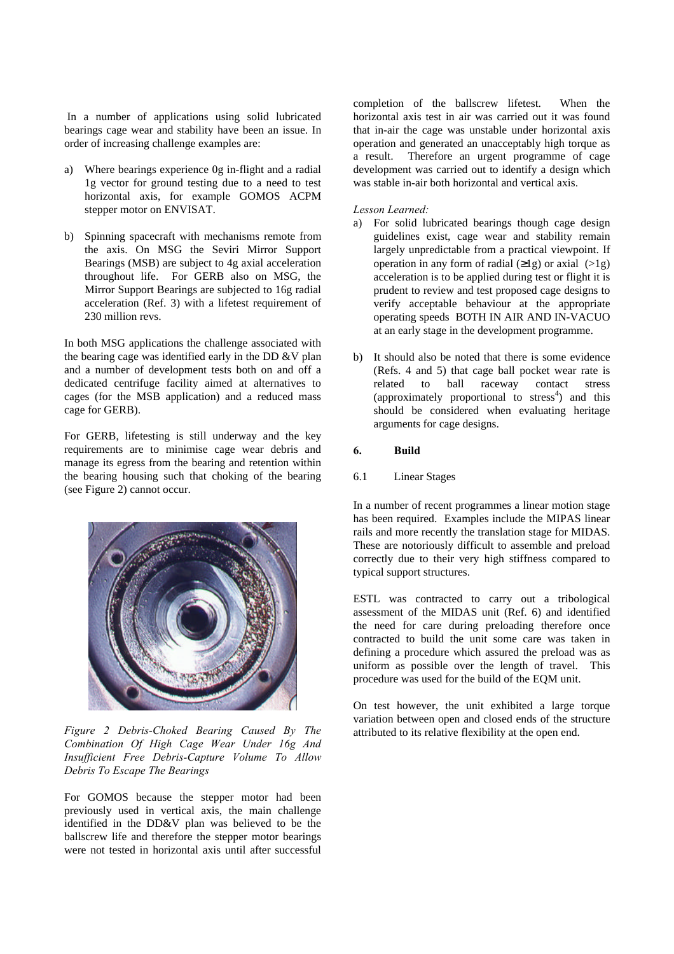In a number of applications using solid lubricated bearings cage wear and stability have been an issue. In order of increasing challenge examples are:

- a) Where bearings experience 0g in-flight and a radial 1g vector for ground testing due to a need to test horizontal axis, for example GOMOS ACPM stepper motor on ENVISAT.
- b) Spinning spacecraft with mechanisms remote from the axis. On MSG the Seviri Mirror Support Bearings (MSB) are subject to 4g axial acceleration throughout life. For GERB also on MSG, the Mirror Support Bearings are subjected to 16g radial acceleration (Ref. 3) with a lifetest requirement of 230 million revs.

In both MSG applications the challenge associated with the bearing cage was identified early in the DD &V plan and a number of development tests both on and off a dedicated centrifuge facility aimed at alternatives to cages (for the MSB application) and a reduced mass cage for GERB).

For GERB, lifetesting is still underway and the key requirements are to minimise cage wear debris and manage its egress from the bearing and retention within the bearing housing such that choking of the bearing (see Figure 2) cannot occur.



*Figure 2 Debris-Choked Bearing Caused By The Combination Of High Cage Wear Under 16g And Insufficient Free Debris-Capture Volume To Allow Debris To Escape The Bearings*

For GOMOS because the stepper motor had been previously used in vertical axis, the main challenge identified in the DD&V plan was believed to be the ballscrew life and therefore the stepper motor bearings were not tested in horizontal axis until after successful

completion of the ballscrew lifetest. When the horizontal axis test in air was carried out it was found that in-air the cage was unstable under horizontal axis operation and generated an unacceptably high torque as a result. Therefore an urgent programme of cage development was carried out to identify a design which was stable in-air both horizontal and vertical axis.

# *Lesson Learned:*

- a) For solid lubricated bearings though cage design guidelines exist, cage wear and stability remain largely unpredictable from a practical viewpoint. If operation in any form of radial  $(\geq 1)$  or axial  $(\geq 1)$ acceleration is to be applied during test or flight it is prudent to review and test proposed cage designs to verify acceptable behaviour at the appropriate operating speeds BOTH IN AIR AND IN-VACUO at an early stage in the development programme.
- b) It should also be noted that there is some evidence (Refs. 4 and 5) that cage ball pocket wear rate is<br>related to ball raceway contact stress related to ball raceway contact (approximately proportional to stress<sup>4</sup>) and this should be considered when evaluating heritage arguments for cage designs.

### **6. Build**

### 6.1 Linear Stages

In a number of recent programmes a linear motion stage has been required. Examples include the MIPAS linear rails and more recently the translation stage for MIDAS. These are notoriously difficult to assemble and preload correctly due to their very high stiffness compared to typical support structures.

ESTL was contracted to carry out a tribological assessment of the MIDAS unit (Ref. 6) and identified the need for care during preloading therefore once contracted to build the unit some care was taken in defining a procedure which assured the preload was as uniform as possible over the length of travel. This procedure was used for the build of the EQM unit.

On test however, the unit exhibited a large torque variation between open and closed ends of the structure attributed to its relative flexibility at the open end.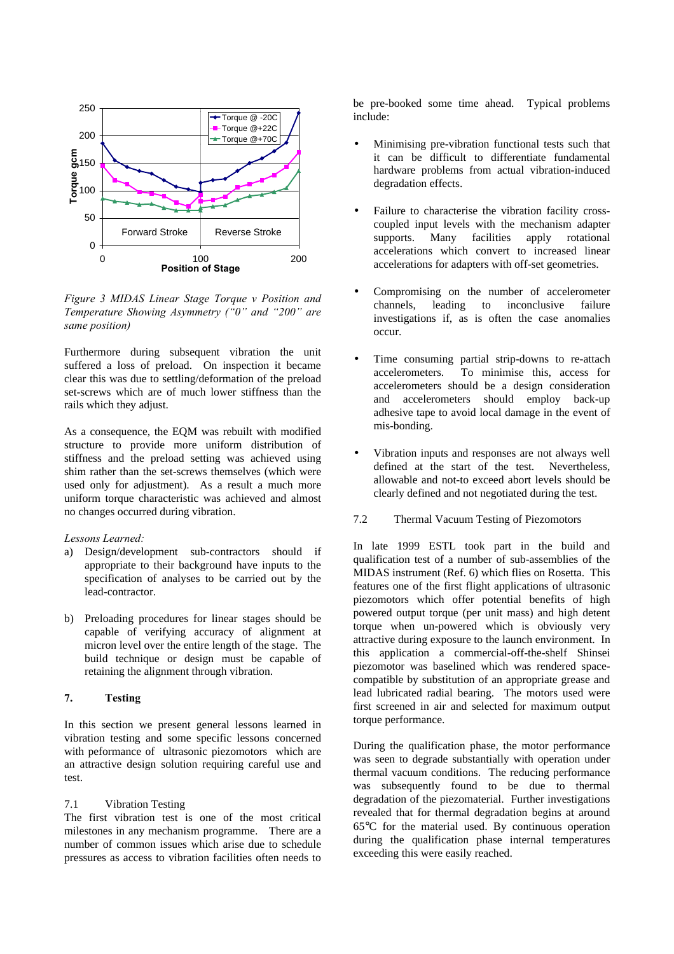

*Figure 3 MIDAS Linear Stage Torque v Position and Temperature Showing Asymmetry ("0" and "200" are same position)*

Furthermore during subsequent vibration the unit suffered a loss of preload. On inspection it became clear this was due to settling/deformation of the preload set-screws which are of much lower stiffness than the rails which they adjust.

As a consequence, the EQM was rebuilt with modified structure to provide more uniform distribution of stiffness and the preload setting was achieved using shim rather than the set-screws themselves (which were used only for adjustment). As a result a much more uniform torque characteristic was achieved and almost no changes occurred during vibration.

### *Lessons Learned:*

- a) Design/development sub-contractors should if appropriate to their background have inputs to the specification of analyses to be carried out by the lead-contractor.
- b) Preloading procedures for linear stages should be capable of verifying accuracy of alignment at micron level over the entire length of the stage. The build technique or design must be capable of retaining the alignment through vibration.

# **7. Testing**

In this section we present general lessons learned in vibration testing and some specific lessons concerned with peformance of ultrasonic piezomotors which are an attractive design solution requiring careful use and test.

#### 7.1 Vibration Testing

The first vibration test is one of the most critical milestones in any mechanism programme. There are a number of common issues which arise due to schedule pressures as access to vibration facilities often needs to be pre-booked some time ahead. Typical problems include:

- Minimising pre-vibration functional tests such that it can be difficult to differentiate fundamental hardware problems from actual vibration-induced degradation effects.
- Failure to characterise the vibration facility crosscoupled input levels with the mechanism adapter supports. Many facilities apply rotational accelerations which convert to increased linear accelerations for adapters with off-set geometries.
- Compromising on the number of accelerometer channels, leading to inconclusive failure investigations if, as is often the case anomalies occur.
- Time consuming partial strip-downs to re-attach accelerometers. To minimise this, access for accelerometers should be a design consideration and accelerometers should employ back-up adhesive tape to avoid local damage in the event of mis-bonding.
- Vibration inputs and responses are not always well defined at the start of the test. Nevertheless, allowable and not-to exceed abort levels should be clearly defined and not negotiated during the test.
- 7.2 Thermal Vacuum Testing of Piezomotors

In late 1999 ESTL took part in the build and qualification test of a number of sub-assemblies of the MIDAS instrument (Ref. 6) which flies on Rosetta. This features one of the first flight applications of ultrasonic piezomotors which offer potential benefits of high powered output torque (per unit mass) and high detent torque when un-powered which is obviously very attractive during exposure to the launch environment. In this application a commercial-off-the-shelf Shinsei piezomotor was baselined which was rendered spacecompatible by substitution of an appropriate grease and lead lubricated radial bearing. The motors used were first screened in air and selected for maximum output torque performance.

During the qualification phase, the motor performance was seen to degrade substantially with operation under thermal vacuum conditions. The reducing performance was subsequently found to be due to thermal degradation of the piezomaterial. Further investigations revealed that for thermal degradation begins at around 65°C for the material used. By continuous operation during the qualification phase internal temperatures exceeding this were easily reached.